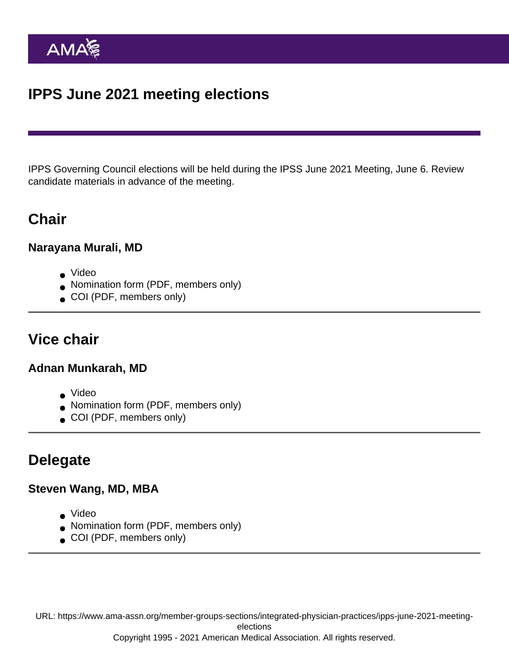# IPPS June 2021 meeting elections

IPPS Governing Council elections will be held during the IPSS June 2021 Meeting, June 6. Review candidate materials in advance of the meeting.

### **Chair**

Narayana Murali, MD

- [Video](https://youtu.be/0QfQQqpU7zg)
- [Nomination form](https://www.ama-assn.org/system/files/2020-10/narayana-murali-ipps-application.pdf) (PDF, members only)
- [COI](https://www.ama-assn.org/system/files/2020-08/coi-narayana-murali.pdf) (PDF, members only)

### Vice chair

Adnan Munkarah, MD

- [Video](https://youtu.be/996fGYTHKE4)
- [Nomination form](https://www.ama-assn.org/system/files/2021-05/2_Munkarah-for-vice-chair.pdf) (PDF, members only)
- [COI](https://www.ama-assn.org/system/files/2020-08/coi-adnan-munkarah.pdf) (PDF, members only)

#### Delegate

Steven Wang, MD, MBA

- [Video](https://youtu.be/LcKlp_rx7Hs)
- [Nomination form](https://www.ama-assn.org/system/files/2020-10/steven-wang-ipps-application.pdf) (PDF, members only)
- [COI](https://www.ama-assn.org/system/files/2020-10/coi-steven-wang.pdf) (PDF, members only)

URL: [https://www.ama-assn.org/member-groups-sections/integrated-physician-practices/ipps-june-2021-meeting](https://www.ama-assn.org/member-groups-sections/integrated-physician-practices/ipps-june-2021-meeting-elections)[elections](https://www.ama-assn.org/member-groups-sections/integrated-physician-practices/ipps-june-2021-meeting-elections)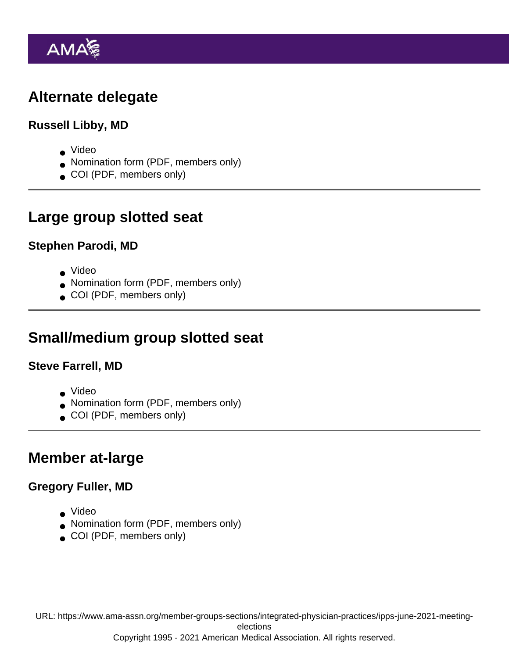# Alternate delegate

Russell Libby, MD

- [Video](https://youtu.be/uIWyLFf4DKo)
- [Nomination form](https://www.ama-assn.org/system/files/2021-05/libby_for-alt-delegate.pdf) (PDF, members only)
- [COI](https://www.ama-assn.org/system/files/2020-07/coi-russell-libby.pdf) (PDF, members only)

### Large group slotted seat

Stephen Parodi, MD

- [Video](https://youtu.be/l9MntbZDlS4)
- [Nomination form](https://www.ama-assn.org/system/files/2020-10/stephen-parodi-ipps-application.pdf) (PDF, members only)
- [COI](https://www.ama-assn.org/system/files/2020-10/coi-stephen-parodi.pdf) (PDF, members only)

### Small/medium group slotted seat

Steve Farrell, MD

- [Video](https://youtu.be/O_5s_hSJsGU)
- [Nomination form](https://www.ama-assn.org/system/files/2021-05/farrell_for-sm_med-group-seat.pdf) (PDF, members only)
- [COI](https://www.ama-assn.org/system/files/2020-07/coi-steven-farrell.pdf) (PDF, members only)

### Member at-large

Gregory Fuller, MD

- [Video](https://youtu.be/FCMJ6j5gO8k)
- [Nomination form](https://www.ama-assn.org/system/files/2021-05/nomination-form-gregory-fuller.pdf) (PDF, members only)
- [COI](https://www.ama-assn.org/system/files/2020-07/coi-gregory-fuller.pdf) (PDF, members only)

URL: [https://www.ama-assn.org/member-groups-sections/integrated-physician-practices/ipps-june-2021-meeting](https://www.ama-assn.org/member-groups-sections/integrated-physician-practices/ipps-june-2021-meeting-elections)[elections](https://www.ama-assn.org/member-groups-sections/integrated-physician-practices/ipps-june-2021-meeting-elections)